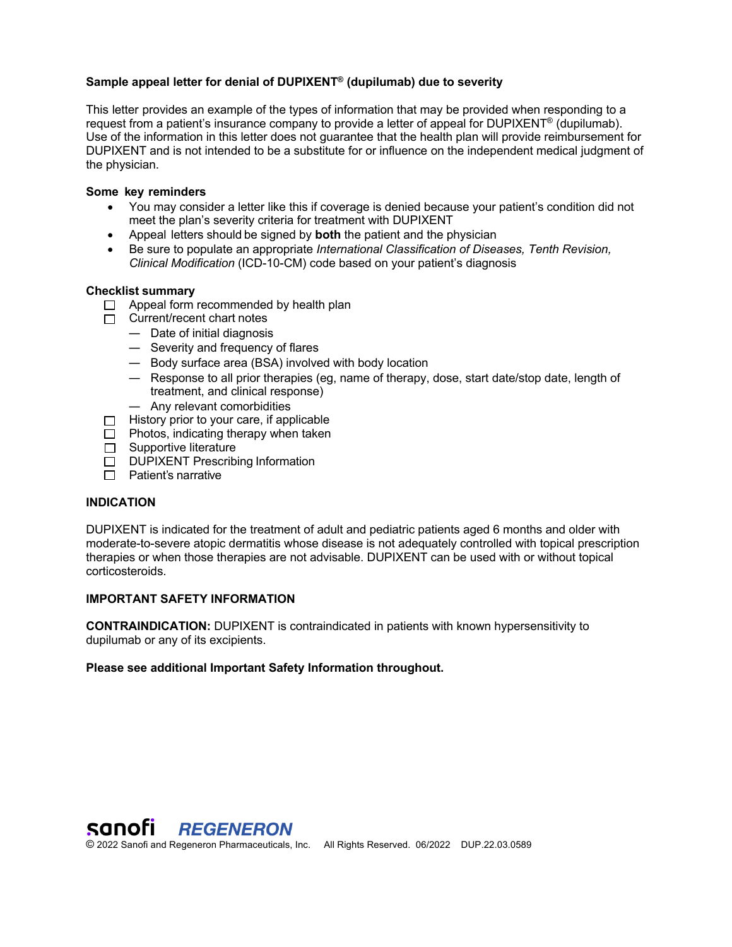# **Sample appeal letter for denial of DUPIXENT® (dupilumab) due to severity**

This letter provides an example of the types of information that may be provided when responding to a request from a patient's insurance company to provide a letter of appeal for DUPIXENT<sup>®</sup> (dupilumab). Use of the information in this letter does not guarantee that the health plan will provide reimbursement for DUPIXENT and is not intended to be a substitute for or influence on the independent medical judgment of the physician.

### **Some key reminders**

- You may consider a letter like this if coverage is denied because your patient's condition did not meet the plan's severity criteria for treatment with DUPIXENT
- Appeal letters should be signed by **both** the patient and the physician
- Be sure to populate an appropriate *International Classification of Diseases, Tenth Revision, Clinical Modification* (ICD-10-CM) code based on your patient's diagnosis

### **Checklist summary**

- $\Box$  Appeal form recommended by health plan
- $\Box$  Current/recent chart notes
	- Date of initial diagnosis
	- Severity and frequency of flares
	- Body surface area (BSA) involved with body location
	- Response to all prior therapies (eg, name of therapy, dose, start date/stop date, length of treatment, and clinical response)
	- Any relevant comorbidities
- $\Box$  History prior to your care, if applicable
- $\Box$  Photos, indicating therapy when taken
- $\Box$  Supportive literature
- DUPIXENT Prescribing Information
- $\Box$  Patient's narrative

### **INDICATION**

DUPIXENT is indicated for the treatment of adult and pediatric patients aged 6 months and older with moderate-to-severe atopic dermatitis whose disease is not adequately controlled with topical prescription therapies or when those therapies are not advisable. DUPIXENT can be used with or without topical corticosteroids.

# **IMPORTANT SAFETY INFORMATION**

**CONTRAINDICATION:** DUPIXENT is contraindicated in patients with known hypersensitivity to dupilumab or any of its excipients.

### **Please see additional Important Safety Information throughout.**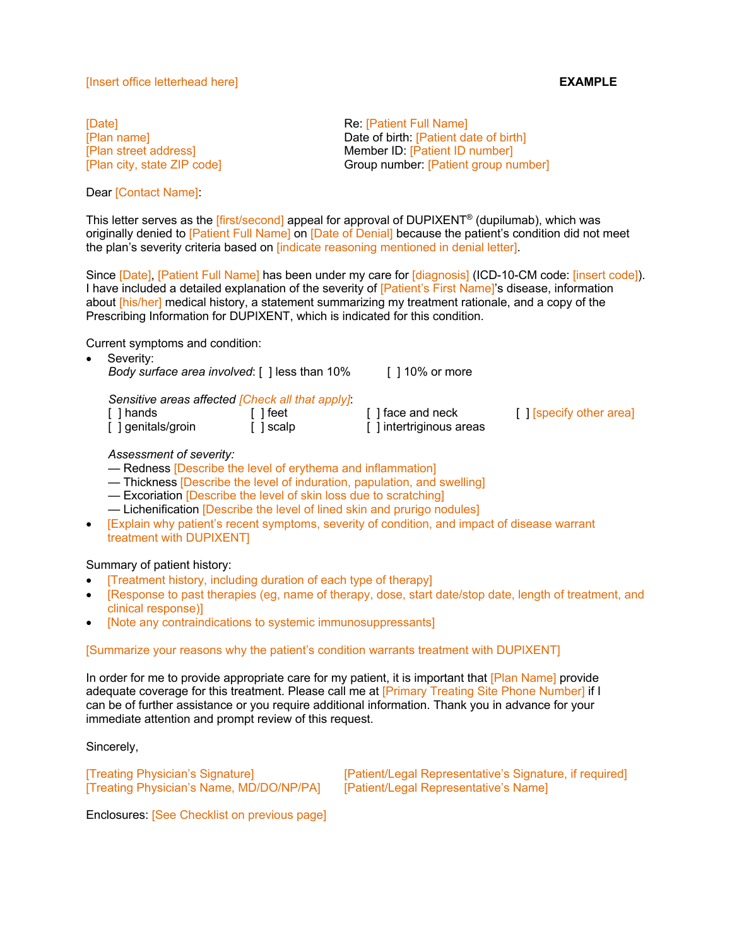#### [Insert office letterhead here] **EXAMPLE**

[Date] **Re:** [Patient Full Name]

Dear [Contact Name]:

[Plan name] Date of birth: [Patient date of birth] [Plan street address] Member ID: [Patient ID number] [Plan city, state ZIP code] Group number: [Patient group number]

This letter serves as the *[first/second]* appeal for approval of DUPIXENT<sup>®</sup> (dupilumab), which was originally denied to [Patient Full Name] on [Date of Denial] because the patient's condition did not meet the plan's severity criteria based on [indicate reasoning mentioned in denial letter].

Since [Date], [Patient Full Name] has been under my care for [diagnosis] (ICD-10-CM code: [insert code]). I have included a detailed explanation of the severity of [Patient's First Name]'s disease, information about [his/her] medical history, a statement summarizing my treatment rationale, and a copy of the Prescribing Information for DUPIXENT, which is indicated for this condition.

Current symptoms and condition:

- Severity: *Body surface area involved*: [ ] less than 10% [ ] 10% or more *Sensitive areas affected [Check all that apply]*: [ ] hands [ ] feet [ ] face and neck [ ] [specify other area] [ ] genitals/groin [ ] scalp [ ] intertriginous areas *Assessment of severity:*
	- Redness [Describe the level of erythema and inflammation]
- Thickness [Describe the level of induration, papulation, and swelling]
- Excoriation [Describe the level of skin loss due to scratching]
- Lichenification [Describe the level of lined skin and prurigo nodules]
- [Explain why patient's recent symptoms, severity of condition, and impact of disease warrant treatment with DUPIXENT]

### Summary of patient history:

- [Treatment history, including duration of each type of therapy]
- [Response to past therapies (eg, name of therapy, dose, start date/stop date, length of treatment, and clinical response)]
- [Note any contraindications to systemic immunosuppressants]

### [Summarize your reasons why the patient's condition warrants treatment with DUPIXENT]

In order for me to provide appropriate care for my patient, it is important that [Plan Name] provide adequate coverage for this treatment. Please call me at [Primary Treating Site Phone Number] if I can be of further assistance or you require additional information. Thank you in advance for your immediate attention and prompt review of this request.

Sincerely,

[Treating Physician's Name, MD/DO/NP/PA] [Patient/Legal Representative's Name]

[Treating Physician's Signature] [Patient/Legal Representative's Signature, if required]

Enclosures: [See Checklist on previous page]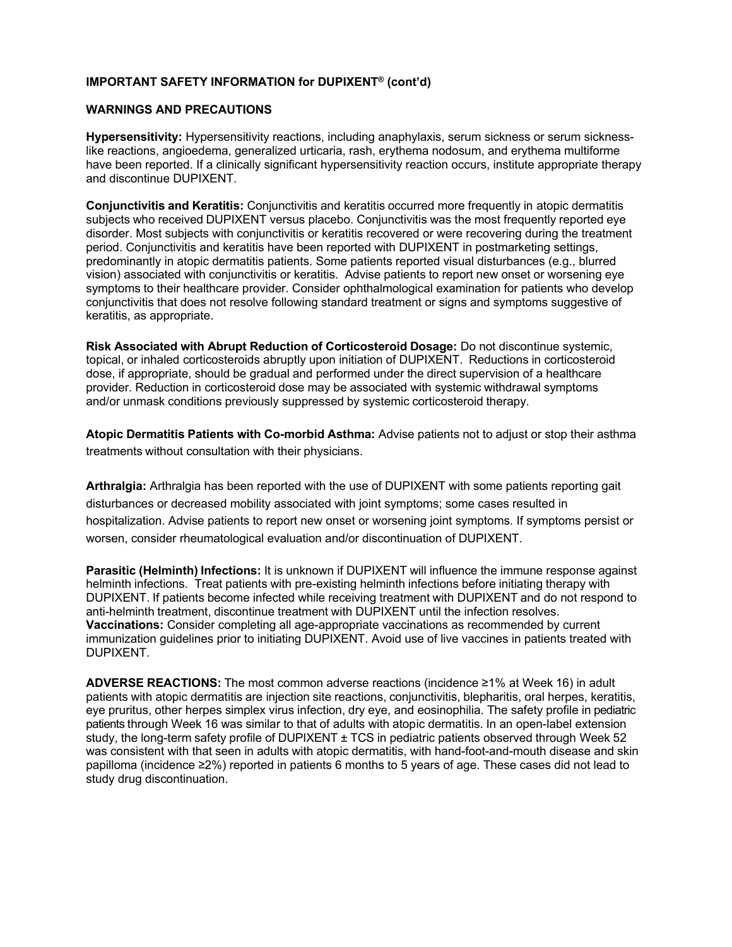# **IMPORTANT SAFETY INFORMATION for DUPIXENT® (cont'd)**

#### **WARNINGS AND PRECAUTIONS**

**Hypersensitivity:** Hypersensitivity reactions, including anaphylaxis, serum sickness or serum sicknesslike reactions, angioedema, generalized urticaria, rash, erythema nodosum, and erythema multiforme have been reported. If a clinically significant hypersensitivity reaction occurs, institute appropriate therapy and discontinue DUPIXENT.

**Conjunctivitis and Keratitis:** Conjunctivitis and keratitis occurred more frequently in atopic dermatitis subjects who received DUPIXENT versus placebo. Conjunctivitis was the most frequently reported eye disorder. Most subjects with conjunctivitis or keratitis recovered or were recovering during the treatment period. Conjunctivitis and keratitis have been reported with DUPIXENT in postmarketing settings, predominantly in atopic dermatitis patients. Some patients reported visual disturbances (e.g., blurred vision) associated with conjunctivitis or keratitis. Advise patients to report new onset or worsening eye symptoms to their healthcare provider. Consider ophthalmological examination for patients who develop conjunctivitis that does not resolve following standard treatment or signs and symptoms suggestive of keratitis, as appropriate.

**Risk Associated with Abrupt Reduction of Corticosteroid Dosage:** Do not discontinue systemic, topical, or inhaled corticosteroids abruptly upon initiation of DUPIXENT. Reductions in corticosteroid dose, if appropriate, should be gradual and performed under the direct supervision of a healthcare provider. Reduction in corticosteroid dose may be associated with systemic withdrawal symptoms and/or unmask conditions previously suppressed by systemic corticosteroid therapy.

**Atopic Dermatitis Patients with Co-morbid Asthma:** Advise patients not to adjust or stop their asthma treatments without consultation with their physicians.

**Arthralgia:** Arthralgia has been reported with the use of DUPIXENT with some patients reporting gait disturbances or decreased mobility associated with joint symptoms; some cases resulted in hospitalization. Advise patients to report new onset or worsening joint symptoms. If symptoms persist or worsen, consider rheumatological evaluation and/or discontinuation of DUPIXENT.

**Parasitic (Helminth) Infections:** It is unknown if DUPIXENT will influence the immune response against helminth infections. Treat patients with pre-existing helminth infections before initiating therapy with DUPIXENT. If patients become infected while receiving treatment with DUPIXENT and do not respond to anti-helminth treatment, discontinue treatment with DUPIXENT until the infection resolves. **Vaccinations:** Consider completing all age-appropriate vaccinations as recommended by current immunization guidelines prior to initiating DUPIXENT. Avoid use of live vaccines in patients treated with DUPIXENT.

**ADVERSE REACTIONS:** The most common adverse reactions (incidence ≥1% at Week 16) in adult patients with atopic dermatitis are injection site reactions, conjunctivitis, blepharitis, oral herpes, keratitis, eye pruritus, other herpes simplex virus infection, dry eye, and eosinophilia. The safety profile in pediatric patients through Week 16 was similar to that of adults with atopic dermatitis. In an open-label extension study, the long-term safety profile of DUPIXENT ± TCS in pediatric patients observed through Week 52 was consistent with that seen in adults with atopic dermatitis, with hand-foot-and-mouth disease and skin papilloma (incidence ≥2%) reported in patients 6 months to 5 years of age. These cases did not lead to study drug discontinuation.